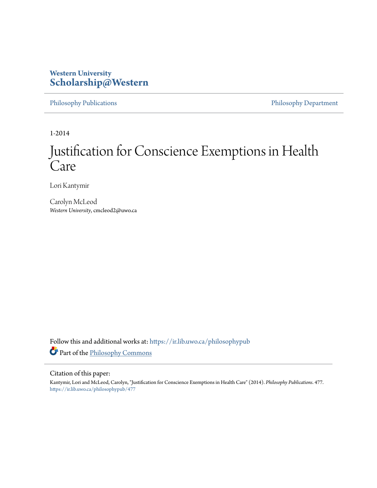# **Western University [Scholarship@Western](https://ir.lib.uwo.ca?utm_source=ir.lib.uwo.ca%2Fphilosophypub%2F477&utm_medium=PDF&utm_campaign=PDFCoverPages)**

[Philosophy Publications](https://ir.lib.uwo.ca/philosophypub?utm_source=ir.lib.uwo.ca%2Fphilosophypub%2F477&utm_medium=PDF&utm_campaign=PDFCoverPages) [Philosophy Department](https://ir.lib.uwo.ca/philosophy?utm_source=ir.lib.uwo.ca%2Fphilosophypub%2F477&utm_medium=PDF&utm_campaign=PDFCoverPages)

1-2014

# Justification for Conscience Exemptions in Health Care

Lori Kantymir

Carolyn McLeod *Western University*, cmcleod2@uwo.ca

Follow this and additional works at: [https://ir.lib.uwo.ca/philosophypub](https://ir.lib.uwo.ca/philosophypub?utm_source=ir.lib.uwo.ca%2Fphilosophypub%2F477&utm_medium=PDF&utm_campaign=PDFCoverPages) Part of the [Philosophy Commons](http://network.bepress.com/hgg/discipline/525?utm_source=ir.lib.uwo.ca%2Fphilosophypub%2F477&utm_medium=PDF&utm_campaign=PDFCoverPages)

#### Citation of this paper:

Kantymir, Lori and McLeod, Carolyn, "Justification for Conscience Exemptions in Health Care" (2014). *Philosophy Publications*. 477. [https://ir.lib.uwo.ca/philosophypub/477](https://ir.lib.uwo.ca/philosophypub/477?utm_source=ir.lib.uwo.ca%2Fphilosophypub%2F477&utm_medium=PDF&utm_campaign=PDFCoverPages)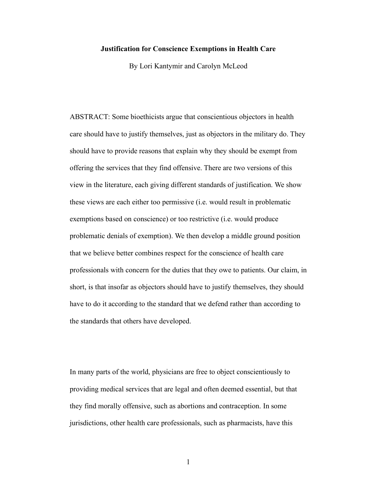## **Justification for Conscience Exemptions in Health Care**

By Lori Kantymir and Carolyn McLeod

ABSTRACT: Some bioethicists argue that conscientious objectors in health care should have to justify themselves, just as objectors in the military do. They should have to provide reasons that explain why they should be exempt from offering the services that they find offensive. There are two versions of this view in the literature, each giving different standards of justification. We show these views are each either too permissive (i.e. would result in problematic exemptions based on conscience) or too restrictive (i.e. would produce problematic denials of exemption). We then develop a middle ground position that we believe better combines respect for the conscience of health care professionals with concern for the duties that they owe to patients. Our claim, in short, is that insofar as objectors should have to justify themselves, they should have to do it according to the standard that we defend rather than according to the standards that others have developed.

In many parts of the world, physicians are free to object conscientiously to providing medical services that are legal and often deemed essential, but that they find morally offensive, such as abortions and contraception. In some jurisdictions, other health care professionals, such as pharmacists, have this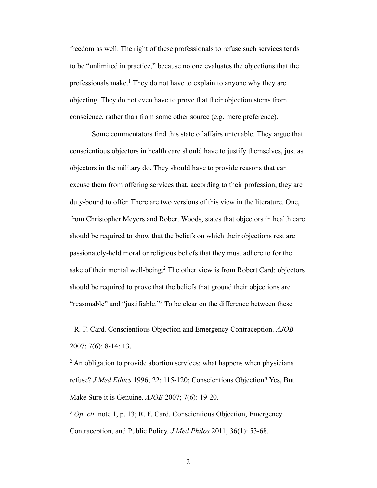freedom as well. The right of these professionals to refuse such services tends to be "unlimited in practice," because no one evaluates the objections that the professionals make.<sup>1</sup> They do not have to explain to anyone why they are objecting. They do not even have to prove that their objection stems from conscience, rather than from some other source (e.g. mere preference).

Some commentators find this state of affairs untenable. They argue that conscientious objectors in health care should have to justify themselves, just as objectors in the military do. They should have to provide reasons that can excuse them from offering services that, according to their profession, they are duty-bound to offer. There are two versions of this view in the literature. One, from Christopher Meyers and Robert Woods, states that objectors in health care should be required to show that the beliefs on which their objections rest are passionately-held moral or religious beliefs that they must adhere to for the sake of their mental well-being.<sup>2</sup> The other view is from Robert Card: objectors should be required to prove that the beliefs that ground their objections are "reasonable" and "justifiable."<sup>3</sup> To be clear on the difference between these

<sup>2</sup> An obligation to provide abortion services: what happens when physicians refuse? *J Med Ethics* 1996; 22: 115-120; Conscientious Objection? Yes, But Make Sure it is Genuine. *AJOB* 2007; 7(6): 19-20.

<sup>3</sup> *Op. cit.* note 1, p. 13; R. F. Card. Conscientious Objection, Emergency Contraception, and Public Policy. *J Med Philos* 2011; 36(1): 53-68.

 <sup>1</sup> R. F. Card. Conscientious Objection and Emergency Contraception. *AJOB*  2007; 7(6): 8-14: 13.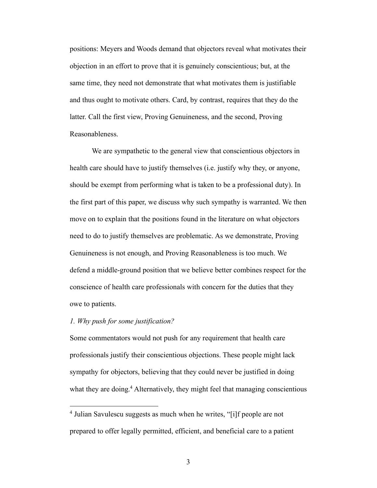positions: Meyers and Woods demand that objectors reveal what motivates their objection in an effort to prove that it is genuinely conscientious; but, at the same time, they need not demonstrate that what motivates them is justifiable and thus ought to motivate others. Card, by contrast, requires that they do the latter. Call the first view, Proving Genuineness, and the second, Proving Reasonableness.

We are sympathetic to the general view that conscientious objectors in health care should have to justify themselves (i.e. justify why they, or anyone, should be exempt from performing what is taken to be a professional duty). In the first part of this paper, we discuss why such sympathy is warranted. We then move on to explain that the positions found in the literature on what objectors need to do to justify themselves are problematic. As we demonstrate, Proving Genuineness is not enough, and Proving Reasonableness is too much. We defend a middle-ground position that we believe better combines respect for the conscience of health care professionals with concern for the duties that they owe to patients.

## *1. Why push for some justification?*

Some commentators would not push for any requirement that health care professionals justify their conscientious objections. These people might lack sympathy for objectors, believing that they could never be justified in doing what they are doing.<sup>4</sup> Alternatively, they might feel that managing conscientious

 <sup>4</sup> Julian Savulescu suggests as much when he writes, "[i]f people are not prepared to offer legally permitted, efficient, and beneficial care to a patient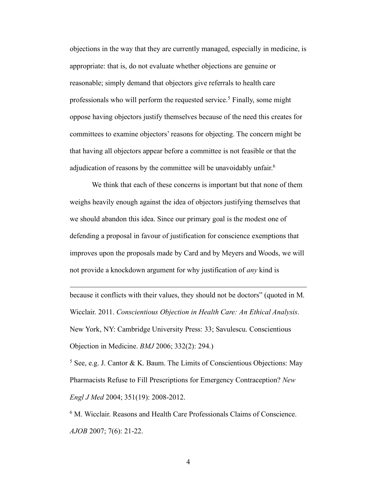objections in the way that they are currently managed, especially in medicine, is appropriate: that is, do not evaluate whether objections are genuine or reasonable; simply demand that objectors give referrals to health care professionals who will perform the requested service.5 Finally, some might oppose having objectors justify themselves because of the need this creates for committees to examine objectors' reasons for objecting. The concern might be that having all objectors appear before a committee is not feasible or that the adjudication of reasons by the committee will be unavoidably unfair.<sup>6</sup>

We think that each of these concerns is important but that none of them weighs heavily enough against the idea of objectors justifying themselves that we should abandon this idea. Since our primary goal is the modest one of defending a proposal in favour of justification for conscience exemptions that improves upon the proposals made by Card and by Meyers and Woods, we will not provide a knockdown argument for why justification of *any* kind is

because it conflicts with their values, they should not be doctors" (quoted in M. Wicclair. 2011. *Conscientious Objection in Health Care: An Ethical Analysis*. New York, NY: Cambridge University Press: 33; Savulescu. Conscientious Objection in Medicine. *BMJ* 2006; 332(2): 294.)

 $\overline{a}$ 

<sup>5</sup> See, e.g. J. Cantor & K. Baum. The Limits of Conscientious Objections: May Pharmacists Refuse to Fill Prescriptions for Emergency Contraception? *New Engl J Med* 2004; 351(19): 2008-2012.

<sup>6</sup> M. Wicclair. Reasons and Health Care Professionals Claims of Conscience. *AJOB* 2007; 7(6): 21-22.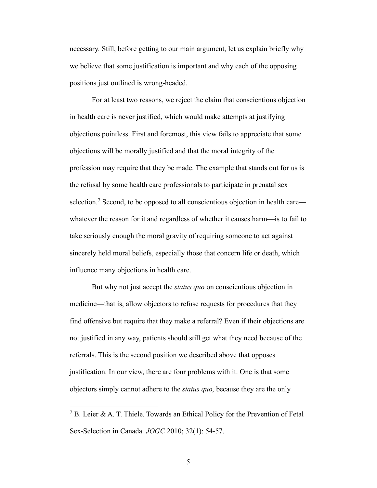necessary. Still, before getting to our main argument, let us explain briefly why we believe that some justification is important and why each of the opposing positions just outlined is wrong-headed.

For at least two reasons, we reject the claim that conscientious objection in health care is never justified, which would make attempts at justifying objections pointless. First and foremost, this view fails to appreciate that some objections will be morally justified and that the moral integrity of the profession may require that they be made. The example that stands out for us is the refusal by some health care professionals to participate in prenatal sex selection.<sup>7</sup> Second, to be opposed to all conscientious objection in health care whatever the reason for it and regardless of whether it causes harm—is to fail to take seriously enough the moral gravity of requiring someone to act against sincerely held moral beliefs, especially those that concern life or death, which influence many objections in health care.

But why not just accept the *status quo* on conscientious objection in medicine—that is, allow objectors to refuse requests for procedures that they find offensive but require that they make a referral? Even if their objections are not justified in any way, patients should still get what they need because of the referrals. This is the second position we described above that opposes justification. In our view, there are four problems with it. One is that some objectors simply cannot adhere to the *status quo*, because they are the only

 <sup>7</sup> B. Leier & A. T. Thiele. Towards an Ethical Policy for the Prevention of Fetal Sex-Selection in Canada. *JOGC* 2010; 32(1): 54-57.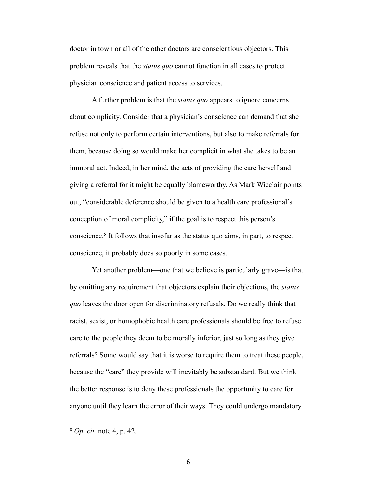doctor in town or all of the other doctors are conscientious objectors. This problem reveals that the *status quo* cannot function in all cases to protect physician conscience and patient access to services.

A further problem is that the *status quo* appears to ignore concerns about complicity. Consider that a physician's conscience can demand that she refuse not only to perform certain interventions, but also to make referrals for them, because doing so would make her complicit in what she takes to be an immoral act. Indeed, in her mind, the acts of providing the care herself and giving a referral for it might be equally blameworthy. As Mark Wicclair points out, "considerable deference should be given to a health care professional's conception of moral complicity," if the goal is to respect this person's conscience.8 It follows that insofar as the status quo aims, in part, to respect conscience, it probably does so poorly in some cases.

Yet another problem—one that we believe is particularly grave—is that by omitting any requirement that objectors explain their objections, the *status quo* leaves the door open for discriminatory refusals. Do we really think that racist, sexist, or homophobic health care professionals should be free to refuse care to the people they deem to be morally inferior, just so long as they give referrals? Some would say that it is worse to require them to treat these people, because the "care" they provide will inevitably be substandard. But we think the better response is to deny these professionals the opportunity to care for anyone until they learn the error of their ways. They could undergo mandatory

 <sup>8</sup> *Op. cit.* note 4, p. 42.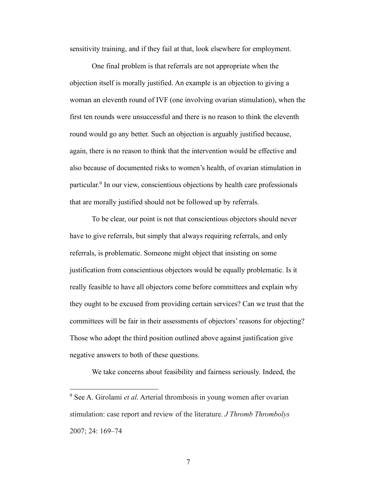sensitivity training, and if they fail at that, look elsewhere for employment.

One final problem is that referrals are not appropriate when the objection itself is morally justified. An example is an objection to giving a woman an eleventh round of IVF (one involving ovarian stimulation), when the first ten rounds were unsuccessful and there is no reason to think the eleventh round would go any better. Such an objection is arguably justified because, again, there is no reason to think that the intervention would be effective and also because of documented risks to women's health, of ovarian stimulation in particular.9 In our view, conscientious objections by health care professionals that are morally justified should not be followed up by referrals.

To be clear, our point is not that conscientious objectors should never have to give referrals, but simply that always requiring referrals, and only referrals, is problematic. Someone might object that insisting on some justification from conscientious objectors would be equally problematic. Is it really feasible to have all objectors come before committees and explain why they ought to be excused from providing certain services? Can we trust that the committees will be fair in their assessments of objectors' reasons for objecting? Those who adopt the third position outlined above against justification give negative answers to both of these questions.

We take concerns about feasibility and fairness seriously. Indeed, the

 <sup>9</sup> See A. Girolami *et al*. Arterial thrombosis in young women after ovarian stimulation: case report and review of the literature. *J Thromb Thrombolys* 2007; 24: 169–74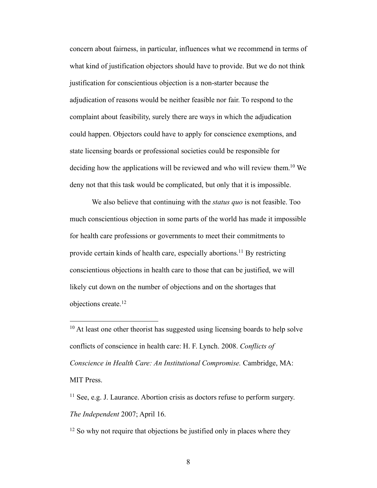concern about fairness, in particular, influences what we recommend in terms of what kind of justification objectors should have to provide. But we do not think justification for conscientious objection is a non-starter because the adjudication of reasons would be neither feasible nor fair. To respond to the complaint about feasibility, surely there are ways in which the adjudication could happen. Objectors could have to apply for conscience exemptions, and state licensing boards or professional societies could be responsible for deciding how the applications will be reviewed and who will review them.<sup>10</sup> We deny not that this task would be complicated, but only that it is impossible.

We also believe that continuing with the *status quo* is not feasible. Too much conscientious objection in some parts of the world has made it impossible for health care professions or governments to meet their commitments to provide certain kinds of health care, especially abortions.11 By restricting conscientious objections in health care to those that can be justified, we will likely cut down on the number of objections and on the shortages that objections create.12

 $10$  At least one other theorist has suggested using licensing boards to help solve conflicts of conscience in health care: H. F. Lynch. 2008. *Conflicts of Conscience in Health Care: An Institutional Compromise.* Cambridge, MA: MIT Press.

 $11$  See, e.g. J. Laurance. Abortion crisis as doctors refuse to perform surgery. *The Independent* 2007; April 16.

<sup>12</sup> So why not require that objections be justified only in places where they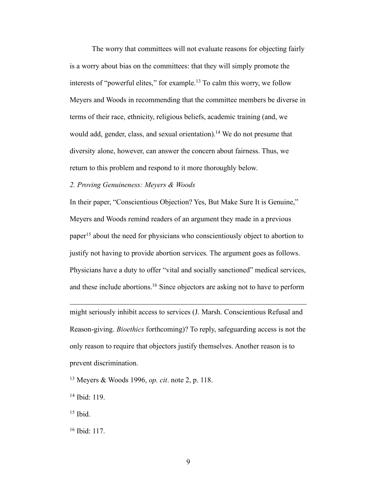The worry that committees will not evaluate reasons for objecting fairly is a worry about bias on the committees: that they will simply promote the interests of "powerful elites," for example.<sup>13</sup> To calm this worry, we follow Meyers and Woods in recommending that the committee members be diverse in terms of their race, ethnicity, religious beliefs, academic training (and, we would add, gender, class, and sexual orientation).<sup>14</sup> We do not presume that diversity alone, however, can answer the concern about fairness. Thus, we return to this problem and respond to it more thoroughly below.

*2. Proving Genuineness: Meyers & Woods*

In their paper, "Conscientious Objection? Yes, But Make Sure It is Genuine," Meyers and Woods remind readers of an argument they made in a previous paper15 about the need for physicians who conscientiously object to abortion to justify not having to provide abortion services. The argument goes as follows. Physicians have a duty to offer "vital and socially sanctioned" medical services, and these include abortions.16 Since objectors are asking not to have to perform

might seriously inhibit access to services (J. Marsh. Conscientious Refusal and Reason-giving. *Bioethics* forthcoming)? To reply, safeguarding access is not the only reason to require that objectors justify themselves. Another reason is to prevent discrimination.

<sup>13</sup> Meyers & Woods 1996, *op. cit*. note 2, p. 118.

<sup>14</sup> Ibid: 119.

 $15$  Ibid.

 $\overline{a}$ 

<sup>16</sup> Ibid: 117.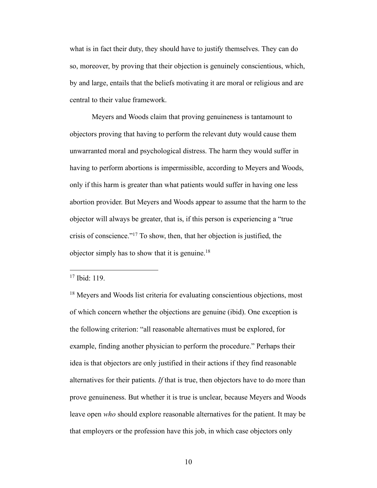what is in fact their duty, they should have to justify themselves. They can do so, moreover, by proving that their objection is genuinely conscientious, which, by and large, entails that the beliefs motivating it are moral or religious and are central to their value framework.

Meyers and Woods claim that proving genuineness is tantamount to objectors proving that having to perform the relevant duty would cause them unwarranted moral and psychological distress. The harm they would suffer in having to perform abortions is impermissible, according to Meyers and Woods, only if this harm is greater than what patients would suffer in having one less abortion provider. But Meyers and Woods appear to assume that the harm to the objector will always be greater, that is, if this person is experiencing a "true crisis of conscience."17 To show, then, that her objection is justified, the objector simply has to show that it is genuine.<sup>18</sup>

 <sup>17</sup> Ibid: 119.

<sup>&</sup>lt;sup>18</sup> Meyers and Woods list criteria for evaluating conscientious objections, most of which concern whether the objections are genuine (ibid). One exception is the following criterion: "all reasonable alternatives must be explored, for example, finding another physician to perform the procedure." Perhaps their idea is that objectors are only justified in their actions if they find reasonable alternatives for their patients. *If* that is true, then objectors have to do more than prove genuineness. But whether it is true is unclear, because Meyers and Woods leave open *who* should explore reasonable alternatives for the patient. It may be that employers or the profession have this job, in which case objectors only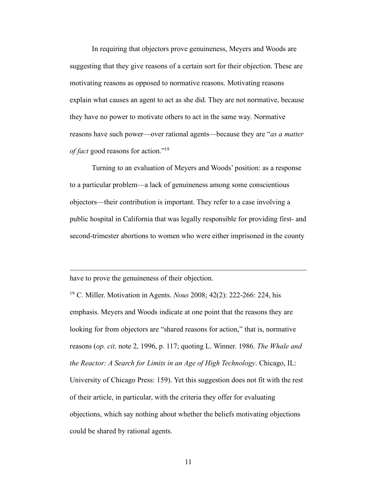In requiring that objectors prove genuineness, Meyers and Woods are suggesting that they give reasons of a certain sort for their objection. These are motivating reasons as opposed to normative reasons. Motivating reasons explain what causes an agent to act as she did. They are not normative, because they have no power to motivate others to act in the same way. Normative reasons have such power—over rational agents—because they are "*as a matter of fact* good reasons for action."19

Turning to an evaluation of Meyers and Woods' position: as a response to a particular problem—a lack of genuineness among some conscientious objectors—their contribution is important. They refer to a case involving a public hospital in California that was legally responsible for providing first- and second-trimester abortions to women who were either imprisoned in the county

have to prove the genuineness of their objection.

 $\overline{a}$ 

<sup>19</sup> C. Miller. Motivation in Agents. *Nous* 2008; 42(2): 222-266: 224, his emphasis. Meyers and Woods indicate at one point that the reasons they are looking for from objectors are "shared reasons for action," that is, normative reasons (*op. cit*. note 2, 1996, p. 117; quoting L. Winner. 1986. *The Whale and the Reactor: A Search for Limits in an Age of High Technology*. Chicago, IL: University of Chicago Press: 159). Yet this suggestion does not fit with the rest of their article, in particular, with the criteria they offer for evaluating objections, which say nothing about whether the beliefs motivating objections could be shared by rational agents.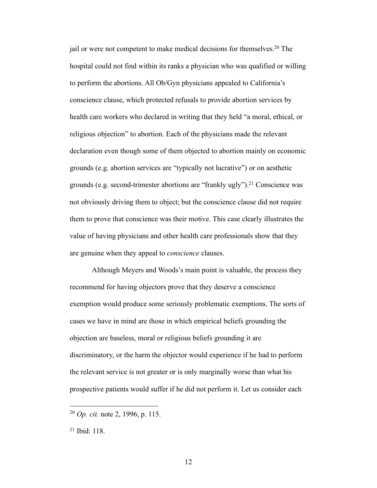jail or were not competent to make medical decisions for themselves.20 The hospital could not find within its ranks a physician who was qualified or willing to perform the abortions. All Ob/Gyn physicians appealed to California's conscience clause, which protected refusals to provide abortion services by health care workers who declared in writing that they held "a moral, ethical, or religious objection" to abortion. Each of the physicians made the relevant declaration even though some of them objected to abortion mainly on economic grounds (e.g. abortion services are "typically not lucrative") or on aesthetic grounds (e.g. second-trimester abortions are "frankly ugly").<sup>21</sup> Conscience was not obviously driving them to object; but the conscience clause did not require them to prove that conscience was their motive. This case clearly illustrates the value of having physicians and other health care professionals show that they are genuine when they appeal to *conscience* clauses.

Although Meyers and Woods's main point is valuable, the process they recommend for having objectors prove that they deserve a conscience exemption would produce some seriously problematic exemptions. The sorts of cases we have in mind are those in which empirical beliefs grounding the objection are baseless, moral or religious beliefs grounding it are discriminatory, or the harm the objector would experience if he had to perform the relevant service is not greater or is only marginally worse than what his prospective patients would suffer if he did not perform it. Let us consider each

 <sup>20</sup> *Op. cit.* note 2, 1996, p. 115.

<sup>21</sup> Ibid: 118.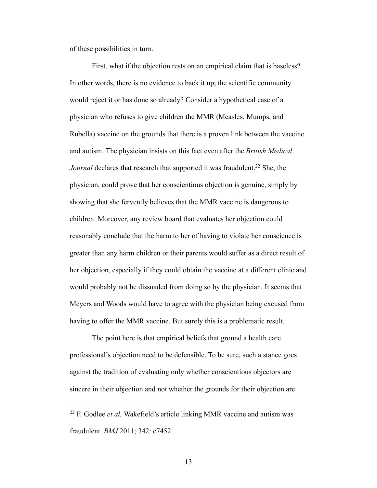of these possibilities in turn.

First, what if the objection rests on an empirical claim that is baseless? In other words, there is no evidence to back it up; the scientific community would reject it or has done so already? Consider a hypothetical case of a physician who refuses to give children the MMR (Measles, Mumps, and Rubella) vaccine on the grounds that there is a proven link between the vaccine and autism. The physician insists on this fact even after the *British Medical* Journal declares that research that supported it was fraudulent.<sup>22</sup> She, the physician, could prove that her conscientious objection is genuine, simply by showing that she fervently believes that the MMR vaccine is dangerous to children. Moreover, any review board that evaluates her objection could reasonably conclude that the harm to her of having to violate her conscience is greater than any harm children or their parents would suffer as a direct result of her objection, especially if they could obtain the vaccine at a different clinic and would probably not be dissuaded from doing so by the physician. It seems that Meyers and Woods would have to agree with the physician being excused from having to offer the MMR vaccine. But surely this is a problematic result.

The point here is that empirical beliefs that ground a health care professional's objection need to be defensible. To be sure, such a stance goes against the tradition of evaluating only whether conscientious objectors are sincere in their objection and not whether the grounds for their objection are

 <sup>22</sup> F. Godlee *et al.* Wakefield's article linking MMR vaccine and autism was fraudulent. *BMJ* 2011; 342: c7452.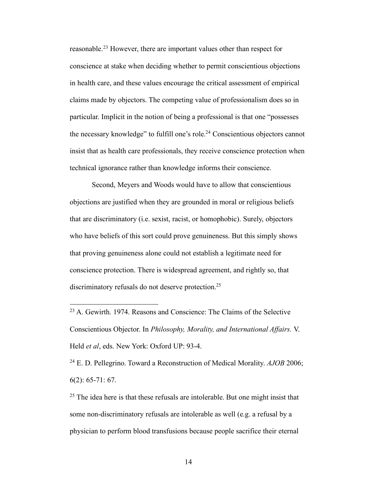reasonable.23 However, there are important values other than respect for conscience at stake when deciding whether to permit conscientious objections in health care, and these values encourage the critical assessment of empirical claims made by objectors. The competing value of professionalism does so in particular. Implicit in the notion of being a professional is that one "possesses the necessary knowledge" to fulfill one's role.24 Conscientious objectors cannot insist that as health care professionals, they receive conscience protection when technical ignorance rather than knowledge informs their conscience.

Second, Meyers and Woods would have to allow that conscientious objections are justified when they are grounded in moral or religious beliefs that are discriminatory (i.e. sexist, racist, or homophobic). Surely, objectors who have beliefs of this sort could prove genuineness. But this simply shows that proving genuineness alone could not establish a legitimate need for conscience protection. There is widespread agreement, and rightly so, that discriminatory refusals do not deserve protection.<sup>25</sup>

 23 A. Gewirth. 1974. Reasons and Conscience: The Claims of the Selective Conscientious Objector. In *Philosophy, Morality, and International Affairs.* V. Held *et al*, eds. New York: Oxford UP: 93-4.

<sup>24</sup> E. D. Pellegrino. Toward a Reconstruction of Medical Morality. *AJOB* 2006; 6(2): 65-71: 67.

 $25$  The idea here is that these refusals are intolerable. But one might insist that some non-discriminatory refusals are intolerable as well (e.g. a refusal by a physician to perform blood transfusions because people sacrifice their eternal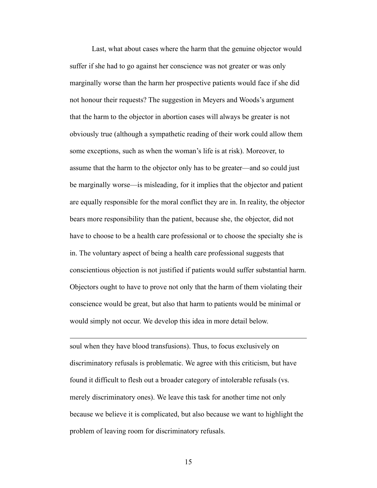Last, what about cases where the harm that the genuine objector would suffer if she had to go against her conscience was not greater or was only marginally worse than the harm her prospective patients would face if she did not honour their requests? The suggestion in Meyers and Woods's argument that the harm to the objector in abortion cases will always be greater is not obviously true (although a sympathetic reading of their work could allow them some exceptions, such as when the woman's life is at risk). Moreover, to assume that the harm to the objector only has to be greater—and so could just be marginally worse—is misleading, for it implies that the objector and patient are equally responsible for the moral conflict they are in. In reality, the objector bears more responsibility than the patient, because she, the objector, did not have to choose to be a health care professional or to choose the specialty she is in. The voluntary aspect of being a health care professional suggests that conscientious objection is not justified if patients would suffer substantial harm. Objectors ought to have to prove not only that the harm of them violating their conscience would be great, but also that harm to patients would be minimal or would simply not occur. We develop this idea in more detail below.

soul when they have blood transfusions). Thus, to focus exclusively on discriminatory refusals is problematic. We agree with this criticism, but have found it difficult to flesh out a broader category of intolerable refusals (vs. merely discriminatory ones). We leave this task for another time not only because we believe it is complicated, but also because we want to highlight the problem of leaving room for discriminatory refusals.

 $\overline{a}$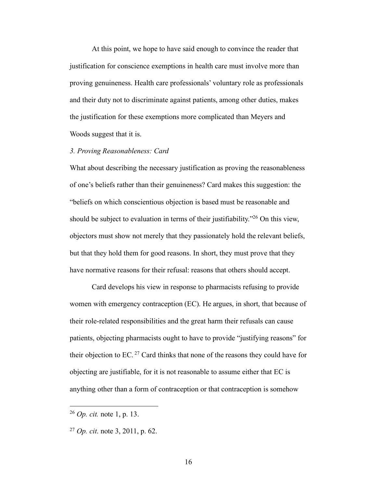At this point, we hope to have said enough to convince the reader that justification for conscience exemptions in health care must involve more than proving genuineness. Health care professionals' voluntary role as professionals and their duty not to discriminate against patients, among other duties, makes the justification for these exemptions more complicated than Meyers and Woods suggest that it is.

#### *3. Proving Reasonableness: Card*

What about describing the necessary justification as proving the reasonableness of one's beliefs rather than their genuineness? Card makes this suggestion: the "beliefs on which conscientious objection is based must be reasonable and should be subject to evaluation in terms of their justifiability."26 On this view, objectors must show not merely that they passionately hold the relevant beliefs, but that they hold them for good reasons. In short, they must prove that they have normative reasons for their refusal: reasons that others should accept.

Card develops his view in response to pharmacists refusing to provide women with emergency contraception (EC). He argues, in short, that because of their role-related responsibilities and the great harm their refusals can cause patients, objecting pharmacists ought to have to provide "justifying reasons" for their objection to EC.<sup>27</sup> Card thinks that none of the reasons they could have for objecting are justifiable, for it is not reasonable to assume either that EC is anything other than a form of contraception or that contraception is somehow

 <sup>26</sup> *Op. cit.* note 1, p. 13.

<sup>27</sup> *Op. cit*. note 3, 2011, p. 62.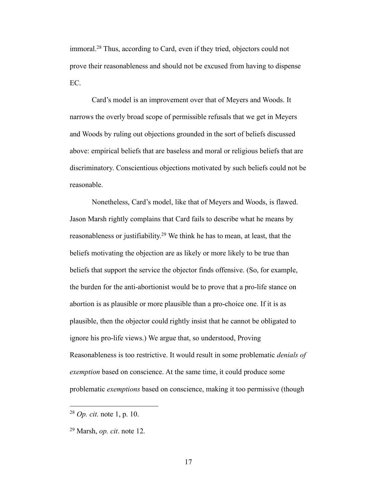immoral.28 Thus, according to Card, even if they tried, objectors could not prove their reasonableness and should not be excused from having to dispense EC.

Card's model is an improvement over that of Meyers and Woods. It narrows the overly broad scope of permissible refusals that we get in Meyers and Woods by ruling out objections grounded in the sort of beliefs discussed above: empirical beliefs that are baseless and moral or religious beliefs that are discriminatory. Conscientious objections motivated by such beliefs could not be reasonable.

Nonetheless, Card's model, like that of Meyers and Woods, is flawed. Jason Marsh rightly complains that Card fails to describe what he means by reasonableness or justifiability.29 We think he has to mean, at least, that the beliefs motivating the objection are as likely or more likely to be true than beliefs that support the service the objector finds offensive. (So, for example, the burden for the anti-abortionist would be to prove that a pro-life stance on abortion is as plausible or more plausible than a pro-choice one. If it is as plausible, then the objector could rightly insist that he cannot be obligated to ignore his pro-life views.) We argue that, so understood, Proving Reasonableness is too restrictive. It would result in some problematic *denials of exemption* based on conscience. At the same time, it could produce some problematic *exemptions* based on conscience, making it too permissive (though

 <sup>28</sup> *Op. cit*. note 1, p. 10.

<sup>29</sup> Marsh, *op. cit*. note 12.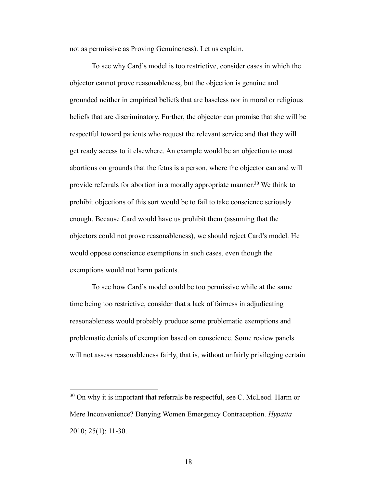not as permissive as Proving Genuineness). Let us explain.

To see why Card's model is too restrictive, consider cases in which the objector cannot prove reasonableness, but the objection is genuine and grounded neither in empirical beliefs that are baseless nor in moral or religious beliefs that are discriminatory. Further, the objector can promise that she will be respectful toward patients who request the relevant service and that they will get ready access to it elsewhere. An example would be an objection to most abortions on grounds that the fetus is a person, where the objector can and will provide referrals for abortion in a morally appropriate manner.<sup>30</sup> We think to prohibit objections of this sort would be to fail to take conscience seriously enough. Because Card would have us prohibit them (assuming that the objectors could not prove reasonableness), we should reject Card's model. He would oppose conscience exemptions in such cases, even though the exemptions would not harm patients.

To see how Card's model could be too permissive while at the same time being too restrictive, consider that a lack of fairness in adjudicating reasonableness would probably produce some problematic exemptions and problematic denials of exemption based on conscience. Some review panels will not assess reasonableness fairly, that is, without unfairly privileging certain

<sup>&</sup>lt;sup>30</sup> On why it is important that referrals be respectful, see C. McLeod. Harm or Mere Inconvenience? Denying Women Emergency Contraception. *Hypatia*  2010; 25(1): 11-30.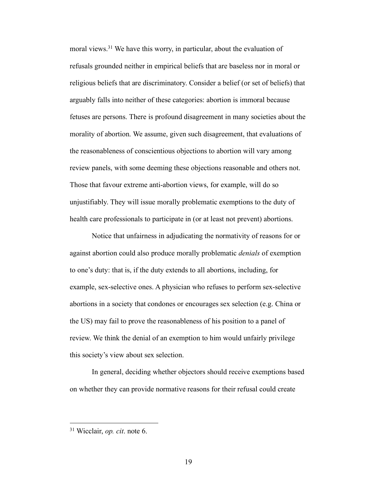moral views.<sup>31</sup> We have this worry, in particular, about the evaluation of refusals grounded neither in empirical beliefs that are baseless nor in moral or religious beliefs that are discriminatory. Consider a belief (or set of beliefs) that arguably falls into neither of these categories: abortion is immoral because fetuses are persons. There is profound disagreement in many societies about the morality of abortion. We assume, given such disagreement, that evaluations of the reasonableness of conscientious objections to abortion will vary among review panels, with some deeming these objections reasonable and others not. Those that favour extreme anti-abortion views, for example, will do so unjustifiably. They will issue morally problematic exemptions to the duty of health care professionals to participate in (or at least not prevent) abortions.

Notice that unfairness in adjudicating the normativity of reasons for or against abortion could also produce morally problematic *denials* of exemption to one's duty: that is, if the duty extends to all abortions, including, for example, sex-selective ones. A physician who refuses to perform sex-selective abortions in a society that condones or encourages sex selection (e.g. China or the US) may fail to prove the reasonableness of his position to a panel of review. We think the denial of an exemption to him would unfairly privilege this society's view about sex selection.

In general, deciding whether objectors should receive exemptions based on whether they can provide normative reasons for their refusal could create

 <sup>31</sup> Wicclair, *op. cit*. note 6.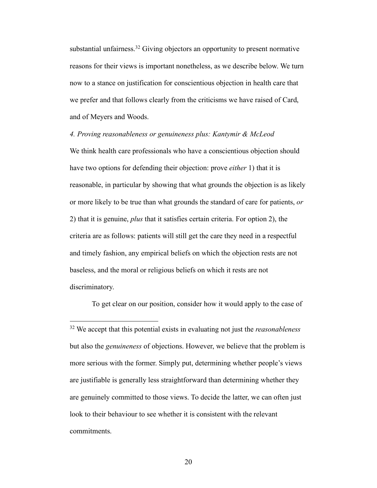substantial unfairness.<sup>32</sup> Giving objectors an opportunity to present normative reasons for their views is important nonetheless, as we describe below. We turn now to a stance on justification for conscientious objection in health care that we prefer and that follows clearly from the criticisms we have raised of Card, and of Meyers and Woods.

## *4. Proving reasonableness or genuineness plus: Kantymir & McLeod*

We think health care professionals who have a conscientious objection should have two options for defending their objection: prove *either* 1) that it is reasonable, in particular by showing that what grounds the objection is as likely or more likely to be true than what grounds the standard of care for patients, *or* 2) that it is genuine, *plus* that it satisfies certain criteria. For option 2), the criteria are as follows: patients will still get the care they need in a respectful and timely fashion, any empirical beliefs on which the objection rests are not baseless, and the moral or religious beliefs on which it rests are not discriminatory.

To get clear on our position, consider how it would apply to the case of

 <sup>32</sup> We accept that this potential exists in evaluating not just the *reasonableness*  but also the *genuineness* of objections. However, we believe that the problem is more serious with the former. Simply put, determining whether people's views are justifiable is generally less straightforward than determining whether they are genuinely committed to those views. To decide the latter, we can often just look to their behaviour to see whether it is consistent with the relevant commitments.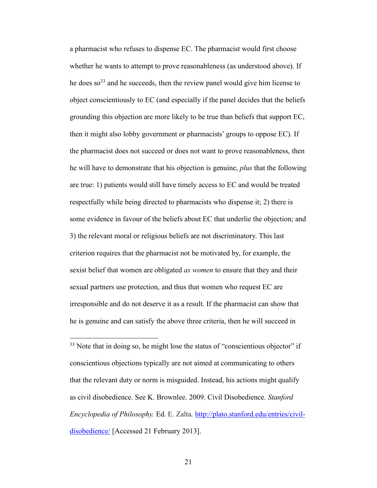a pharmacist who refuses to dispense EC. The pharmacist would first choose whether he wants to attempt to prove reasonableness (as understood above). If he does  $\delta^{33}$  and he succeeds, then the review panel would give him license to object conscientiously to EC (and especially if the panel decides that the beliefs grounding this objection are more likely to be true than beliefs that support EC, then it might also lobby government or pharmacists' groups to oppose EC). If the pharmacist does not succeed or does not want to prove reasonableness, then he will have to demonstrate that his objection is genuine, *plus* that the following are true: 1) patients would still have timely access to EC and would be treated respectfully while being directed to pharmacists who dispense it; 2) there is some evidence in favour of the beliefs about EC that underlie the objection; and 3) the relevant moral or religious beliefs are not discriminatory. This last criterion requires that the pharmacist not be motivated by, for example, the sexist belief that women are obligated *as women* to ensure that they and their sexual partners use protection, and thus that women who request EC are irresponsible and do not deserve it as a result. If the pharmacist can show that he is genuine and can satisfy the above three criteria, then he will succeed in

<sup>33</sup> Note that in doing so, he might lose the status of "conscientious objector" if conscientious objections typically are not aimed at communicating to others that the relevant duty or norm is misguided. Instead, his actions might qualify as civil disobedience. See K. Brownlee. 2009. Civil Disobedience. *Stanford Encyclopedia of Philosophy.* Ed. E. Zalta. http://plato.stanford.edu/entries/civildisobedience/ [Accessed 21 February 2013].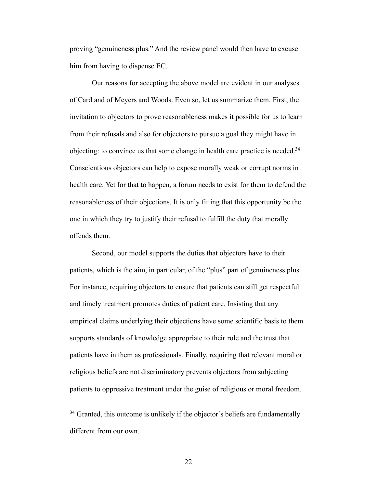proving "genuineness plus." And the review panel would then have to excuse him from having to dispense EC.

Our reasons for accepting the above model are evident in our analyses of Card and of Meyers and Woods. Even so, let us summarize them. First, the invitation to objectors to prove reasonableness makes it possible for us to learn from their refusals and also for objectors to pursue a goal they might have in objecting: to convince us that some change in health care practice is needed.34 Conscientious objectors can help to expose morally weak or corrupt norms in health care. Yet for that to happen, a forum needs to exist for them to defend the reasonableness of their objections. It is only fitting that this opportunity be the one in which they try to justify their refusal to fulfill the duty that morally offends them.

Second, our model supports the duties that objectors have to their patients, which is the aim, in particular, of the "plus" part of genuineness plus. For instance, requiring objectors to ensure that patients can still get respectful and timely treatment promotes duties of patient care. Insisting that any empirical claims underlying their objections have some scientific basis to them supports standards of knowledge appropriate to their role and the trust that patients have in them as professionals. Finally, requiring that relevant moral or religious beliefs are not discriminatory prevents objectors from subjecting patients to oppressive treatment under the guise of religious or moral freedom.

<sup>&</sup>lt;sup>34</sup> Granted, this outcome is unlikely if the objector's beliefs are fundamentally different from our own.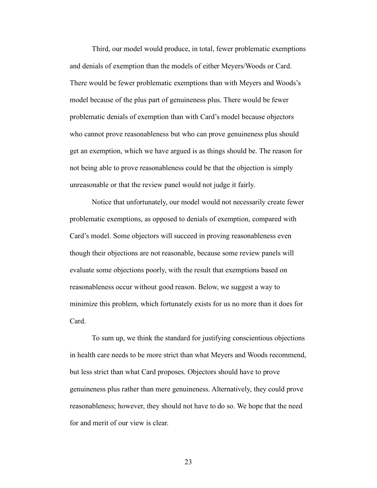Third, our model would produce, in total, fewer problematic exemptions and denials of exemption than the models of either Meyers/Woods or Card. There would be fewer problematic exemptions than with Meyers and Woods's model because of the plus part of genuineness plus. There would be fewer problematic denials of exemption than with Card's model because objectors who cannot prove reasonableness but who can prove genuineness plus should get an exemption, which we have argued is as things should be. The reason for not being able to prove reasonableness could be that the objection is simply unreasonable or that the review panel would not judge it fairly.

Notice that unfortunately, our model would not necessarily create fewer problematic exemptions, as opposed to denials of exemption, compared with Card's model. Some objectors will succeed in proving reasonableness even though their objections are not reasonable, because some review panels will evaluate some objections poorly, with the result that exemptions based on reasonableness occur without good reason. Below, we suggest a way to minimize this problem, which fortunately exists for us no more than it does for Card.

To sum up, we think the standard for justifying conscientious objections in health care needs to be more strict than what Meyers and Woods recommend, but less strict than what Card proposes. Objectors should have to prove genuineness plus rather than mere genuineness. Alternatively, they could prove reasonableness; however, they should not have to do so. We hope that the need for and merit of our view is clear.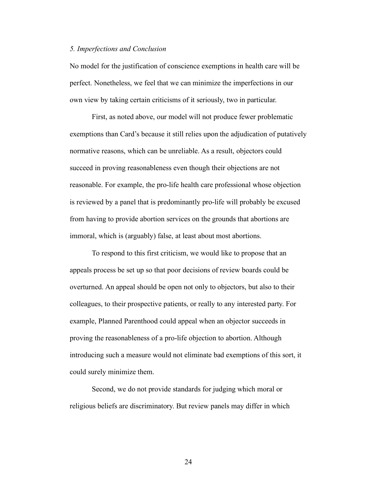# *5. Imperfections and Conclusion*

No model for the justification of conscience exemptions in health care will be perfect. Nonetheless, we feel that we can minimize the imperfections in our own view by taking certain criticisms of it seriously, two in particular.

First, as noted above, our model will not produce fewer problematic exemptions than Card's because it still relies upon the adjudication of putatively normative reasons, which can be unreliable. As a result, objectors could succeed in proving reasonableness even though their objections are not reasonable. For example, the pro-life health care professional whose objection is reviewed by a panel that is predominantly pro-life will probably be excused from having to provide abortion services on the grounds that abortions are immoral, which is (arguably) false, at least about most abortions.

To respond to this first criticism, we would like to propose that an appeals process be set up so that poor decisions of review boards could be overturned. An appeal should be open not only to objectors, but also to their colleagues, to their prospective patients, or really to any interested party. For example, Planned Parenthood could appeal when an objector succeeds in proving the reasonableness of a pro-life objection to abortion. Although introducing such a measure would not eliminate bad exemptions of this sort, it could surely minimize them.

Second, we do not provide standards for judging which moral or religious beliefs are discriminatory. But review panels may differ in which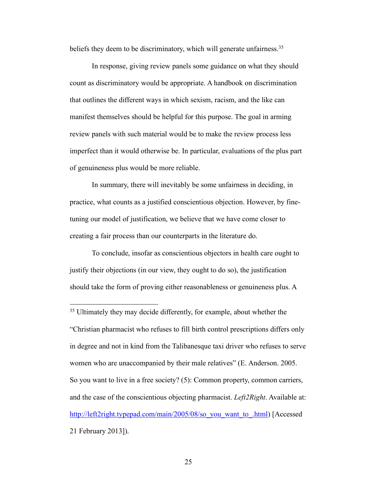beliefs they deem to be discriminatory, which will generate unfairness.<sup>35</sup>

In response, giving review panels some guidance on what they should count as discriminatory would be appropriate. A handbook on discrimination that outlines the different ways in which sexism, racism, and the like can manifest themselves should be helpful for this purpose. The goal in arming review panels with such material would be to make the review process less imperfect than it would otherwise be. In particular, evaluations of the plus part of genuineness plus would be more reliable.

In summary, there will inevitably be some unfairness in deciding, in practice, what counts as a justified conscientious objection. However, by finetuning our model of justification, we believe that we have come closer to creating a fair process than our counterparts in the literature do.

To conclude, insofar as conscientious objectors in health care ought to justify their objections (in our view, they ought to do so), the justification should take the form of proving either reasonableness or genuineness plus. A

<sup>&</sup>lt;sup>35</sup> Ultimately they may decide differently, for example, about whether the "Christian pharmacist who refuses to fill birth control prescriptions differs only in degree and not in kind from the Talibanesque taxi driver who refuses to serve women who are unaccompanied by their male relatives" (E. Anderson. 2005. So you want to live in a free society? (5): Common property, common carriers, and the case of the conscientious objecting pharmacist. *Left2Right*. Available at: http://left2right.typepad.com/main/2005/08/so\_you\_want\_to\_.html) [Accessed] 21 February 2013]).